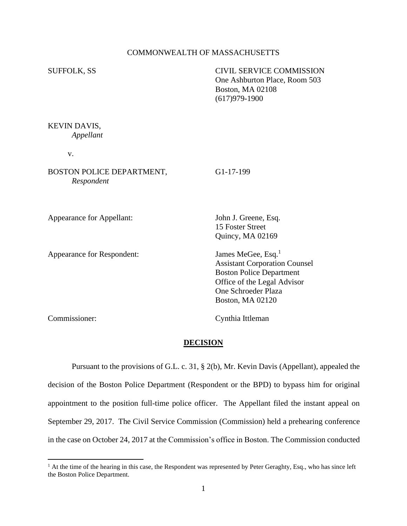## COMMONWEALTH OF MASSACHUSETTS

SUFFOLK, SS CIVIL SERVICE COMMISSION One Ashburton Place, Room 503 Boston, MA 02108 (617)979-1900

KEVIN DAVIS, *Appellant*

v.

BOSTON POLICE DEPARTMENT, G1-17-199 *Respondent*

Appearance for Appellant: John J. Greene, Esq.

Appearance for Respondent: James MeGee, Esq.<sup>1</sup>

15 Foster Street [Quincy,](https://maps.google.com/?q=391+Totten+Pond+Road,+Suite+402+Waltham,+MA+02451+ph.+%C2%A0617&entry=gmail&source=g) MA 02169

Assistant Corporation Counsel Boston Police Department Office of the Legal Advisor One Schroeder Plaza Boston, MA 02120

Commissioner: Cynthia Ittleman

#### **DECISION**

Pursuant to the provisions of G.L. c. 31, § 2(b), Mr. Kevin Davis (Appellant), appealed the decision of the Boston Police Department (Respondent or the BPD) to bypass him for original appointment to the position full-time police officer. The Appellant filed the instant appeal on September 29, 2017. The Civil Service Commission (Commission) held a prehearing conference in the case on October 24, 2017 at the Commission's office in Boston. The Commission conducted

<sup>&</sup>lt;sup>1</sup> At the time of the hearing in this case, the Respondent was represented by Peter Geraghty, Esq., who has since left the Boston Police Department.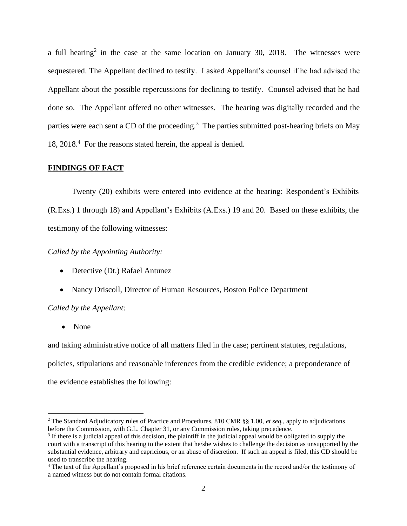a full hearing<sup>2</sup> in the case at the same location on January 30, 2018. The witnesses were sequestered. The Appellant declined to testify. I asked Appellant's counsel if he had advised the Appellant about the possible repercussions for declining to testify. Counsel advised that he had done so. The Appellant offered no other witnesses. The hearing was digitally recorded and the parties were each sent a CD of the proceeding.<sup>3</sup> The parties submitted post-hearing briefs on May 18, 2018.<sup>4</sup> For the reasons stated herein, the appeal is denied.

## **FINDINGS OF FACT**

Twenty (20) exhibits were entered into evidence at the hearing: Respondent's Exhibits (R.Exs.) 1 through 18) and Appellant's Exhibits (A.Exs.) 19 and 20. Based on these exhibits, the testimony of the following witnesses:

## *Called by the Appointing Authority:*

- Detective (Dt.) Rafael Antunez
- Nancy Driscoll, Director of Human Resources, Boston Police Department

## *Called by the Appellant:*

• None

and taking administrative notice of all matters filed in the case; pertinent statutes, regulations, policies, stipulations and reasonable inferences from the credible evidence; a preponderance of the evidence establishes the following:

<sup>2</sup> The Standard Adjudicatory rules of Practice and Procedures, 810 CMR §§ 1.00, *et seq.*, apply to adjudications before the Commission, with G.L. Chapter 31, or any Commission rules, taking precedence.

<sup>&</sup>lt;sup>3</sup> If there is a judicial appeal of this decision, the plaintiff in the judicial appeal would be obligated to supply the court with a transcript of this hearing to the extent that he/she wishes to challenge the decision as unsupported by the substantial evidence, arbitrary and capricious, or an abuse of discretion. If such an appeal is filed, this CD should be used to transcribe the hearing.

<sup>4</sup> The text of the Appellant's proposed in his brief reference certain documents in the record and/or the testimony of a named witness but do not contain formal citations.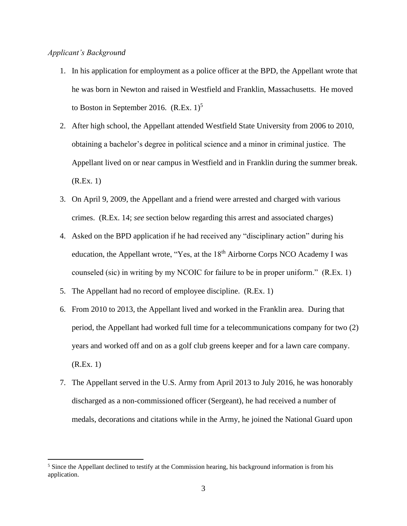## *Applicant's Background*

- 1. In his application for employment as a police officer at the BPD, the Appellant wrote that he was born in Newton and raised in Westfield and Franklin, Massachusetts. He moved to Boston in September 2016.  $(R.Ex. 1)^5$
- 2. After high school, the Appellant attended Westfield State University from 2006 to 2010, obtaining a bachelor's degree in political science and a minor in criminal justice. The Appellant lived on or near campus in Westfield and in Franklin during the summer break. (R.Ex. 1)
- 3. On April 9, 2009, the Appellant and a friend were arrested and charged with various crimes. (R.Ex. 14; *see* section below regarding this arrest and associated charges)
- 4. Asked on the BPD application if he had received any "disciplinary action" during his education, the Appellant wrote, "Yes, at the 18<sup>th</sup> Airborne Corps NCO Academy I was counseled (sic) in writing by my NCOIC for failure to be in proper uniform." (R.Ex. 1)
- 5. The Appellant had no record of employee discipline. (R.Ex. 1)
- 6. From 2010 to 2013, the Appellant lived and worked in the Franklin area. During that period, the Appellant had worked full time for a telecommunications company for two (2) years and worked off and on as a golf club greens keeper and for a lawn care company. (R.Ex. 1)
- 7. The Appellant served in the U.S. Army from April 2013 to July 2016, he was honorably discharged as a non-commissioned officer (Sergeant), he had received a number of medals, decorations and citations while in the Army, he joined the National Guard upon

<sup>&</sup>lt;sup>5</sup> Since the Appellant declined to testify at the Commission hearing, his background information is from his application.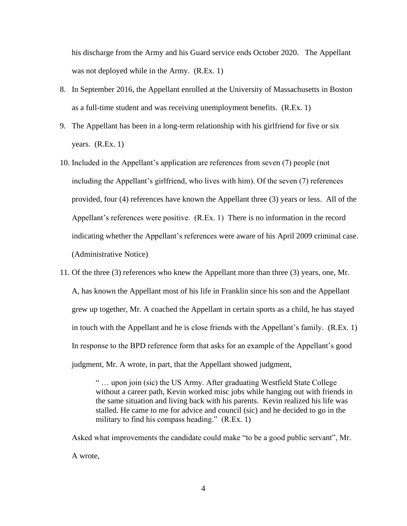his discharge from the Army and his Guard service ends October 2020. The Appellant was not deployed while in the Army. (R.Ex. 1)

- 8. In September 2016, the Appellant enrolled at the University of Massachusetts in Boston as a full-time student and was receiving unemployment benefits. (R.Ex. 1)
- 9. The Appellant has been in a long-term relationship with his girlfriend for five or six years.  $(R.Ex. 1)$
- 10. Included in the Appellant's application are references from seven (7) people (not including the Appellant's girlfriend, who lives with him). Of the seven (7) references provided, four (4) references have known the Appellant three (3) years or less. All of the Appellant's references were positive. (R.Ex. 1) There is no information in the record indicating whether the Appellant's references were aware of his April 2009 criminal case. (Administrative Notice)
- 11. Of the three (3) references who knew the Appellant more than three (3) years, one, Mr. A, has known the Appellant most of his life in Franklin since his son and the Appellant grew up together, Mr. A coached the Appellant in certain sports as a child, he has stayed in touch with the Appellant and he is close friends with the Appellant's family. (R.Ex. 1) In response to the BPD reference form that asks for an example of the Appellant's good judgment, Mr. A wrote, in part, that the Appellant showed judgment,

" … upon join (sic) the US Army. After graduating Westfield State College without a career path, Kevin worked misc jobs while hanging out with friends in the same situation and living back with his parents. Kevin realized his life was stalled. He came to me for advice and council (sic) and he decided to go in the military to find his compass heading." (R.Ex. 1)

Asked what improvements the candidate could make "to be a good public servant", Mr. A wrote,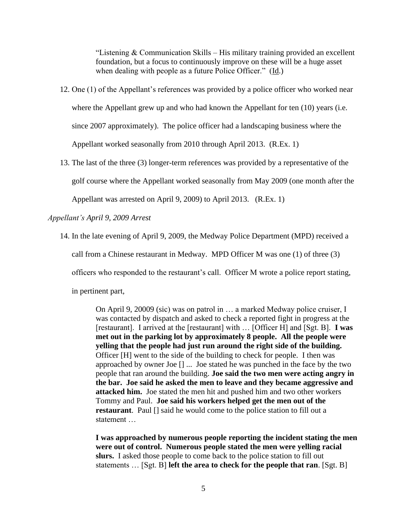"Listening  $&$  Communication Skills – His military training provided an excellent foundation, but a focus to continuously improve on these will be a huge asset when dealing with people as a future Police Officer." (Id.)

- 12. One (1) of the Appellant's references was provided by a police officer who worked near where the Appellant grew up and who had known the Appellant for ten (10) years (i.e. since 2007 approximately). The police officer had a landscaping business where the Appellant worked seasonally from 2010 through April 2013. (R.Ex. 1)
- 13. The last of the three (3) longer-term references was provided by a representative of the golf course where the Appellant worked seasonally from May 2009 (one month after the Appellant was arrested on April 9, 2009) to April 2013. (R.Ex. 1)

*Appellant's April 9, 2009 Arrest*

14. In the late evening of April 9, 2009, the Medway Police Department (MPD) received a call from a Chinese restaurant in Medway. MPD Officer M was one (1) of three (3) officers who responded to the restaurant's call. Officer M wrote a police report stating, in pertinent part,

> On April 9, 20009 (sic) was on patrol in … a marked Medway police cruiser, I was contacted by dispatch and asked to check a reported fight in progress at the [restaurant]. I arrived at the [restaurant] with … [Officer H] and [Sgt. B]. **I was met out in the parking lot by approximately 8 people. All the people were yelling that the people had just run around the right side of the building.** Officer [H] went to the side of the building to check for people. I then was approached by owner Joe [] ... Joe stated he was punched in the face by the two people that ran around the building. **Joe said the two men were acting angry in the bar. Joe said he asked the men to leave and they became aggressive and attacked him.** Joe stated the men hit and pushed him and two other workers Tommy and Paul. **Joe said his workers helped get the men out of the restaurant**. Paul [] said he would come to the police station to fill out a statement …

**I was approached by numerous people reporting the incident stating the men were out of control. Numerous people stated the men were yelling racial slurs.** I asked those people to come back to the police station to fill out statements … [Sgt. B] **left the area to check for the people that ran**. [Sgt. B]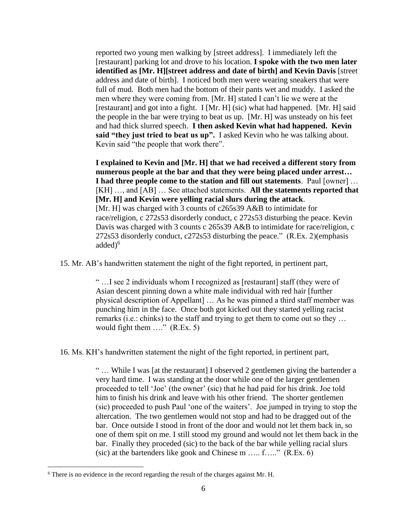reported two young men walking by [street address]. I immediately left the [restaurant] parking lot and drove to his location. **I spoke with the two men later identified as [Mr. H][street address and date of birth] and Kevin Davis** [street address and date of birth]. I noticed both men were wearing sneakers that were full of mud. Both men had the bottom of their pants wet and muddy. I asked the men where they were coming from. [Mr. H] stated I can't lie we were at the [restaurant] and got into a fight. I [Mr. H] (sic) what had happened. [Mr. H] said the people in the bar were trying to beat us up. [Mr. H] was unsteady on his feet and had thick slurred speech. **I then asked Kevin what had happened. Kevin said "they just tried to beat us up".** I asked Kevin who he was talking about. Kevin said "the people that work there".

**I explained to Kevin and [Mr. H] that we had received a different story from numerous people at the bar and that they were being placed under arrest… I had three people come to the station and fill out statements**. Paul [owner] … [KH] …, and [AB] … See attached statements. **All the statements reported that [Mr. H] and Kevin were yelling racial slurs during the attack**. [Mr. H] was charged with 3 counts of c265s39 A&B to intimidate for race/religion, c 272s53 disorderly conduct, c 272s53 disturbing the peace. Kevin Davis was charged with 3 counts c 265s39 A&B to intimidate for race/religion, c 272s53 disorderly conduct, c272s53 disturbing the peace." (R.Ex. 2)(emphasis  $added<sup>6</sup>$ 

15. Mr. AB's handwritten statement the night of the fight reported, in pertinent part,

" …I see 2 individuals whom I recognized as [restaurant] staff (they were of Asian descent pinning down a white male individual with red hair [further physical description of Appellant] … As he was pinned a third staff member was punching him in the face. Once both got kicked out they started yelling racist remarks (i.e.: chinks) to the staff and trying to get them to come out so they … would fight them ...." (R.Ex. 5)

16. Ms. KH's handwritten statement the night of the fight reported, in pertinent part,

" … While I was [at the restaurant] I observed 2 gentlemen giving the bartender a very hard time. I was standing at the door while one of the larger gentlemen proceeded to tell 'Joe' (the owner' (sic) that he had paid for his drink. Joe told him to finish his drink and leave with his other friend. The shorter gentlemen (sic) proceeded to push Paul 'one of the waiters'. Joe jumped in trying to stop the altercation. The two gentlemen would not stop and had to be dragged out of the bar. Once outside I stood in front of the door and would not let them back in, so one of them spit on me. I still stood my ground and would not let them back in the bar. Finally they proceded (sic) to the back of the bar while yelling racial slurs (sic) at the bartenders like gook and Chinese m ….. f….." (R.Ex. 6)

<sup>6</sup> There is no evidence in the record regarding the result of the charges against Mr. H.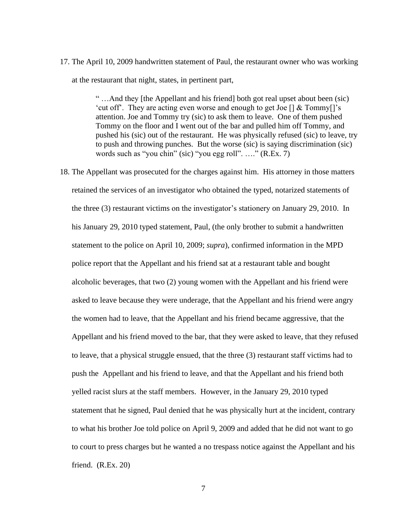17. The April 10, 2009 handwritten statement of Paul, the restaurant owner who was working at the restaurant that night, states, in pertinent part,

> " …And they [the Appellant and his friend] both got real upset about been (sic) 'cut off'. They are acting even worse and enough to get Joe [] & Tommy[]'s attention. Joe and Tommy try (sic) to ask them to leave. One of them pushed Tommy on the floor and I went out of the bar and pulled him off Tommy, and pushed his (sic) out of the restaurant. He was physically refused (sic) to leave, try to push and throwing punches. But the worse (sic) is saying discrimination (sic) words such as "you chin" (sic) "you egg roll". …." (R.Ex. 7)

18. The Appellant was prosecuted for the charges against him. His attorney in those matters retained the services of an investigator who obtained the typed, notarized statements of the three (3) restaurant victims on the investigator's stationery on January 29, 2010. In his January 29, 2010 typed statement, Paul, (the only brother to submit a handwritten statement to the police on April 10, 2009; *supra*), confirmed information in the MPD police report that the Appellant and his friend sat at a restaurant table and bought alcoholic beverages, that two (2) young women with the Appellant and his friend were asked to leave because they were underage, that the Appellant and his friend were angry the women had to leave, that the Appellant and his friend became aggressive, that the Appellant and his friend moved to the bar, that they were asked to leave, that they refused to leave, that a physical struggle ensued, that the three (3) restaurant staff victims had to push the Appellant and his friend to leave, and that the Appellant and his friend both yelled racist slurs at the staff members. However, in the January 29, 2010 typed statement that he signed, Paul denied that he was physically hurt at the incident, contrary to what his brother Joe told police on April 9, 2009 and added that he did not want to go to court to press charges but he wanted a no trespass notice against the Appellant and his friend. (R.Ex. 20)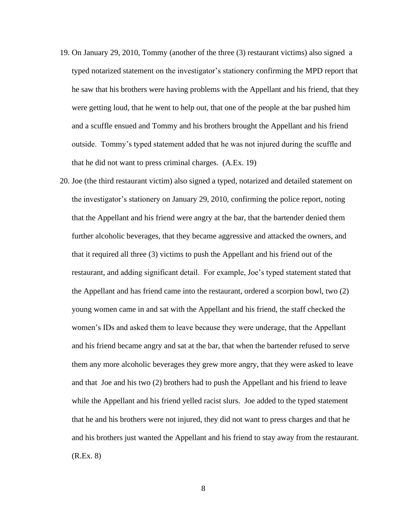- 19. On January 29, 2010, Tommy (another of the three (3) restaurant victims) also signed a typed notarized statement on the investigator's stationery confirming the MPD report that he saw that his brothers were having problems with the Appellant and his friend, that they were getting loud, that he went to help out, that one of the people at the bar pushed him and a scuffle ensued and Tommy and his brothers brought the Appellant and his friend outside. Tommy's typed statement added that he was not injured during the scuffle and that he did not want to press criminal charges. (A.Ex. 19)
- 20. Joe (the third restaurant victim) also signed a typed, notarized and detailed statement on the investigator's stationery on January 29, 2010, confirming the police report, noting that the Appellant and his friend were angry at the bar, that the bartender denied them further alcoholic beverages, that they became aggressive and attacked the owners, and that it required all three (3) victims to push the Appellant and his friend out of the restaurant, and adding significant detail. For example, Joe's typed statement stated that the Appellant and has friend came into the restaurant, ordered a scorpion bowl, two (2) young women came in and sat with the Appellant and his friend, the staff checked the women's IDs and asked them to leave because they were underage, that the Appellant and his friend became angry and sat at the bar, that when the bartender refused to serve them any more alcoholic beverages they grew more angry, that they were asked to leave and that Joe and his two (2) brothers had to push the Appellant and his friend to leave while the Appellant and his friend yelled racist slurs. Joe added to the typed statement that he and his brothers were not injured, they did not want to press charges and that he and his brothers just wanted the Appellant and his friend to stay away from the restaurant. (R.Ex. 8)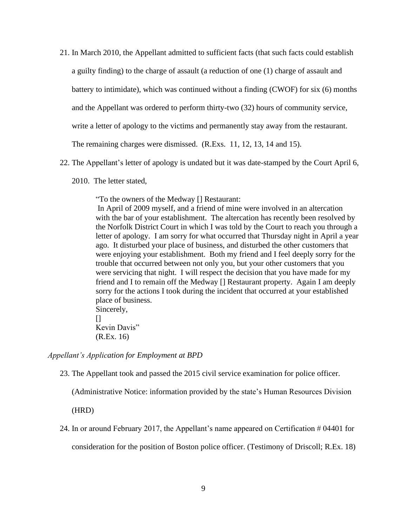- 21. In March 2010, the Appellant admitted to sufficient facts (that such facts could establish a guilty finding) to the charge of assault (a reduction of one (1) charge of assault and battery to intimidate), which was continued without a finding (CWOF) for six (6) months and the Appellant was ordered to perform thirty-two (32) hours of community service, write a letter of apology to the victims and permanently stay away from the restaurant. The remaining charges were dismissed. (R.Exs. 11, 12, 13, 14 and 15).
- 22. The Appellant's letter of apology is undated but it was date-stamped by the Court April 6,
	- 2010. The letter stated,

"To the owners of the Medway [] Restaurant:

In April of 2009 myself, and a friend of mine were involved in an altercation with the bar of your establishment. The altercation has recently been resolved by the Norfolk District Court in which I was told by the Court to reach you through a letter of apology. I am sorry for what occurred that Thursday night in April a year ago. It disturbed your place of business, and disturbed the other customers that were enjoying your establishment. Both my friend and I feel deeply sorry for the trouble that occurred between not only you, but your other customers that you were servicing that night. I will respect the decision that you have made for my friend and I to remain off the Medway [] Restaurant property. Again I am deeply sorry for the actions I took during the incident that occurred at your established place of business. Sincerely,

 $\prod$ Kevin Davis" (R.Ex. 16)

*Appellant's Application for Employment at BPD*

23. The Appellant took and passed the 2015 civil service examination for police officer.

(Administrative Notice: information provided by the state's Human Resources Division

(HRD)

24. In or around February 2017, the Appellant's name appeared on Certification # 04401 for consideration for the position of Boston police officer. (Testimony of Driscoll; R.Ex. 18)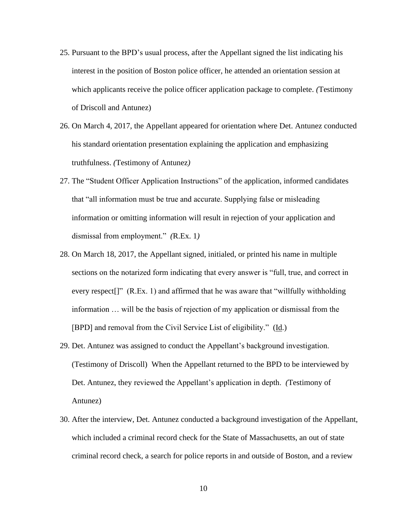- 25. Pursuant to the BPD's usual process, after the Appellant signed the list indicating his interest in the position of Boston police officer, he attended an orientation session at which applicants receive the police officer application package to complete. *(*Testimony of Driscoll and Antunez)
- 26. On March 4, 2017, the Appellant appeared for orientation where Det. Antunez conducted his standard orientation presentation explaining the application and emphasizing truthfulness. *(*Testimony of Antunez*)*
- 27. The "Student Officer Application Instructions" of the application, informed candidates that "all information must be true and accurate. Supplying false or misleading information or omitting information will result in rejection of your application and dismissal from employment." *(*R.Ex. 1*)*
- 28. On March 18, 2017, the Appellant signed, initialed, or printed his name in multiple sections on the notarized form indicating that every answer is "full, true, and correct in every respect<sup>[]"</sup> (R.Ex. 1) and affirmed that he was aware that "willfully withholding information … will be the basis of rejection of my application or dismissal from the [BPD] and removal from the Civil Service List of eligibility." (Id.)
- 29. Det. Antunez was assigned to conduct the Appellant's background investigation. (Testimony of Driscoll) When the Appellant returned to the BPD to be interviewed by Det. Antunez, they reviewed the Appellant's application in depth. *(*Testimony of Antunez)
- 30. After the interview, Det. Antunez conducted a background investigation of the Appellant, which included a criminal record check for the State of Massachusetts, an out of state criminal record check, a search for police reports in and outside of Boston, and a review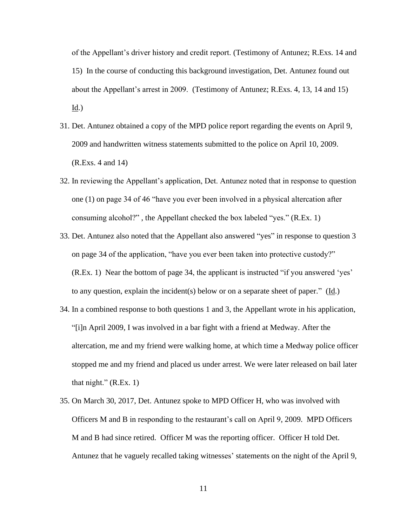of the Appellant's driver history and credit report. (Testimony of Antunez; R.Exs. 14 and 15) In the course of conducting this background investigation, Det. Antunez found out about the Appellant's arrest in 2009. (Testimony of Antunez; R.Exs. 4, 13, 14 and 15)  $Id.$ )

- 31. Det. Antunez obtained a copy of the MPD police report regarding the events on April 9, 2009 and handwritten witness statements submitted to the police on April 10, 2009. (R.Exs. 4 and 14)
- 32. In reviewing the Appellant's application, Det. Antunez noted that in response to question one (1) on page 34 of 46 "have you ever been involved in a physical altercation after consuming alcohol?" , the Appellant checked the box labeled "yes." (R.Ex. 1)
- 33. Det. Antunez also noted that the Appellant also answered "yes" in response to question 3 on page 34 of the application, "have you ever been taken into protective custody?" (R.Ex. 1) Near the bottom of page 34, the applicant is instructed "if you answered 'yes' to any question, explain the incident(s) below or on a separate sheet of paper." (Id.)
- 34. In a combined response to both questions 1 and 3, the Appellant wrote in his application, "[i]n April 2009, I was involved in a bar fight with a friend at Medway. After the altercation, me and my friend were walking home, at which time a Medway police officer stopped me and my friend and placed us under arrest. We were later released on bail later that night."  $(R.Ex. 1)$
- 35. On March 30, 2017, Det. Antunez spoke to MPD Officer H, who was involved with Officers M and B in responding to the restaurant's call on April 9, 2009. MPD Officers M and B had since retired. Officer M was the reporting officer. Officer H told Det. Antunez that he vaguely recalled taking witnesses' statements on the night of the April 9,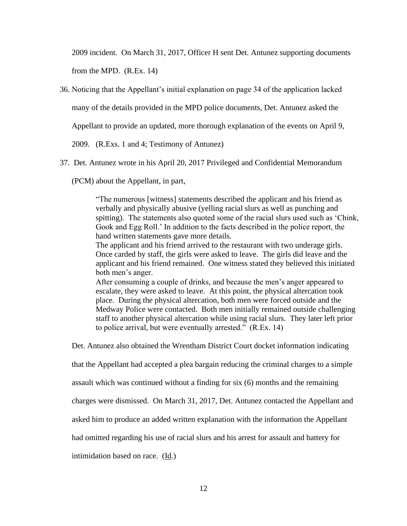2009 incident. On March 31, 2017, Officer H sent Det. Antunez supporting documents from the MPD. (R.Ex. 14)

36. Noticing that the Appellant's initial explanation on page 34 of the application lacked

many of the details provided in the MPD police documents, Det. Antunez asked the

Appellant to provide an updated, more thorough explanation of the events on April 9,

2009. (R.Exs. 1 and 4; Testimony of Antunez)

37. Det. Antunez wrote in his April 20, 2017 Privileged and Confidential Memorandum

(PCM) about the Appellant, in part,

"The numerous [witness] statements described the applicant and his friend as verbally and physically abusive (yelling racial slurs as well as punching and spitting). The statements also quoted some of the racial slurs used such as 'Chink, Gook and Egg Roll.' In addition to the facts described in the police report, the hand written statements gave more details.

The applicant and his friend arrived to the restaurant with two underage girls. Once carded by staff, the girls were asked to leave. The girls did leave and the applicant and his friend remained. One witness stated they believed this initiated both men's anger.

After consuming a couple of drinks, and because the men's anger appeared to escalate, they were asked to leave. At this point, the physical altercation took place. During the physical altercation, both men were forced outside and the Medway Police were contacted. Both men initially remained outside challenging staff to another physical altercation while using racial slurs. They later left prior to police arrival, but were eventually arrested." (R.Ex. 14)

Det. Antunez also obtained the Wrentham District Court docket information indicating

that the Appellant had accepted a plea bargain reducing the criminal charges to a simple

assault which was continued without a finding for six (6) months and the remaining

charges were dismissed. On March 31, 2017, Det. Antunez contacted the Appellant and

asked him to produce an added written explanation with the information the Appellant

had omitted regarding his use of racial slurs and his arrest for assault and battery for

intimidation based on race. (Id.)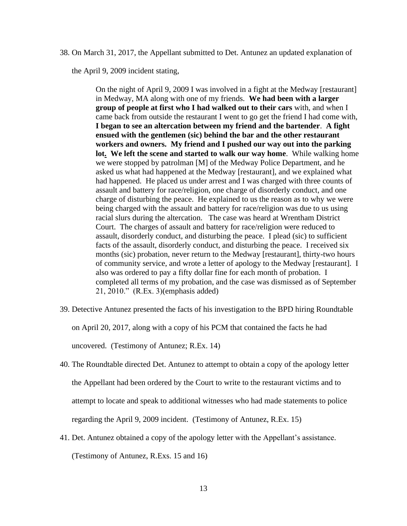38. On March 31, 2017, the Appellant submitted to Det. Antunez an updated explanation of

the April 9, 2009 incident stating,

On the night of April 9, 2009 I was involved in a fight at the Medway [restaurant] in Medway, MA along with one of my friends. **We had been with a larger group of people at first who I had walked out to their cars** with, and when I came back from outside the restaurant I went to go get the friend I had come with, **I began to see an altercation between my friend and the bartender**. **A fight ensued with the gentlemen (sic) behind the bar and the other restaurant workers and owners. My friend and I pushed our way out into the parking lot. We left the scene and started to walk our way home**. While walking home we were stopped by patrolman [M] of the Medway Police Department, and he asked us what had happened at the Medway [restaurant], and we explained what had happened. He placed us under arrest and I was charged with three counts of assault and battery for race/religion, one charge of disorderly conduct, and one charge of disturbing the peace. He explained to us the reason as to why we were being charged with the assault and battery for race/religion was due to us using racial slurs during the altercation. The case was heard at Wrentham District Court. The charges of assault and battery for race/religion were reduced to assault, disorderly conduct, and disturbing the peace. I plead (sic) to sufficient facts of the assault, disorderly conduct, and disturbing the peace. I received six months (sic) probation, never return to the Medway [restaurant], thirty-two hours of community service, and wrote a letter of apology to the Medway [restaurant]. I also was ordered to pay a fifty dollar fine for each month of probation. I completed all terms of my probation, and the case was dismissed as of September 21, 2010." (R.Ex. 3)(emphasis added)

- 39. Detective Antunez presented the facts of his investigation to the BPD hiring Roundtable on April 20, 2017, along with a copy of his PCM that contained the facts he had uncovered. (Testimony of Antunez; R.Ex. 14)
- 40. The Roundtable directed Det. Antunez to attempt to obtain a copy of the apology letter the Appellant had been ordered by the Court to write to the restaurant victims and to attempt to locate and speak to additional witnesses who had made statements to police regarding the April 9, 2009 incident. (Testimony of Antunez, R.Ex. 15)
- 41. Det. Antunez obtained a copy of the apology letter with the Appellant's assistance.

(Testimony of Antunez, R.Exs. 15 and 16)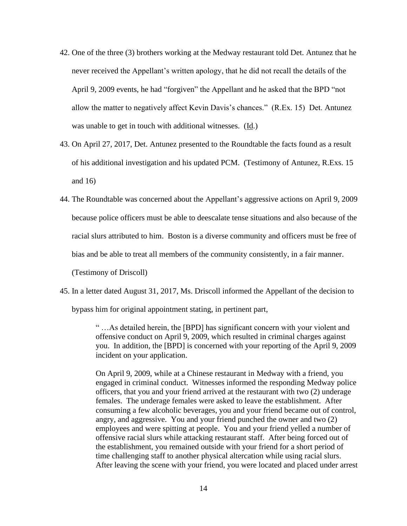- 42. One of the three (3) brothers working at the Medway restaurant told Det. Antunez that he never received the Appellant's written apology, that he did not recall the details of the April 9, 2009 events, he had "forgiven" the Appellant and he asked that the BPD "not allow the matter to negatively affect Kevin Davis's chances." (R.Ex. 15) Det. Antunez was unable to get in touch with additional witnesses. (Id.)
- 43. On April 27, 2017, Det. Antunez presented to the Roundtable the facts found as a result of his additional investigation and his updated PCM. (Testimony of Antunez, R.Exs. 15 and 16)
- 44. The Roundtable was concerned about the Appellant's aggressive actions on April 9, 2009 because police officers must be able to deescalate tense situations and also because of the racial slurs attributed to him. Boston is a diverse community and officers must be free of bias and be able to treat all members of the community consistently, in a fair manner.

(Testimony of Driscoll)

45. In a letter dated August 31, 2017, Ms. Driscoll informed the Appellant of the decision to

bypass him for original appointment stating, in pertinent part,

" …As detailed herein, the [BPD] has significant concern with your violent and offensive conduct on April 9, 2009, which resulted in criminal charges against you. In addition, the [BPD] is concerned with your reporting of the April 9, 2009 incident on your application.

On April 9, 2009, while at a Chinese restaurant in Medway with a friend, you engaged in criminal conduct. Witnesses informed the responding Medway police officers, that you and your friend arrived at the restaurant with two (2) underage females. The underage females were asked to leave the establishment. After consuming a few alcoholic beverages, you and your friend became out of control, angry, and aggressive. You and your friend punched the owner and two (2) employees and were spitting at people. You and your friend yelled a number of offensive racial slurs while attacking restaurant staff. After being forced out of the establishment, you remained outside with your friend for a short period of time challenging staff to another physical altercation while using racial slurs. After leaving the scene with your friend, you were located and placed under arrest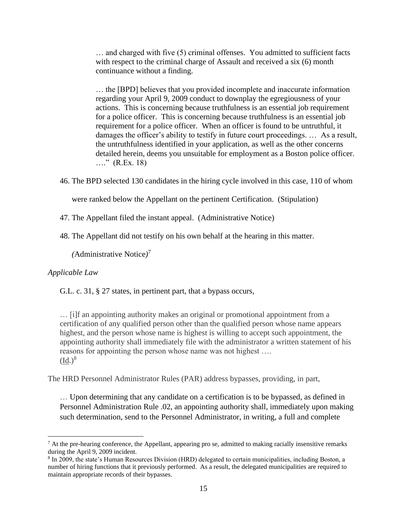… and charged with five (5) criminal offenses. You admitted to sufficient facts with respect to the criminal charge of Assault and received a six  $(6)$  month continuance without a finding.

… the [BPD] believes that you provided incomplete and inaccurate information regarding your April 9, 2009 conduct to downplay the egregiousness of your actions. This is concerning because truthfulness is an essential job requirement for a police officer. This is concerning because truthfulness is an essential job requirement for a police officer. When an officer is found to be untruthful, it damages the officer's ability to testify in future court proceedings. … As a result, the untruthfulness identified in your application, as well as the other concerns detailed herein, deems you unsuitable for employment as a Boston police officer. …." (R.Ex. 18)

46. The BPD selected 130 candidates in the hiring cycle involved in this case, 110 of whom

were ranked below the Appellant on the pertinent Certification. (Stipulation)

47. The Appellant filed the instant appeal. (Administrative Notice)

48. The Appellant did not testify on his own behalf at the hearing in this matter.

*(*Administrative Notice*)* 7

# *Applicable Law*

G.L. c. 31, § 27 states, in pertinent part, that a bypass occurs,

… [i]f an appointing authority makes an original or promotional appointment from a certification of any qualified person other than the qualified person whose name appears highest, and the person whose name is highest is willing to accept such appointment, the appointing authority shall immediately file with the administrator a written statement of his reasons for appointing the person whose name was not highest ….  $(\mathrm{Id.})^8$ 

The HRD Personnel Administrator Rules (PAR) address bypasses, providing, in part,

… Upon determining that any candidate on a certification is to be bypassed, as defined in Personnel Administration Rule .02, an appointing authority shall, immediately upon making such determination, send to the Personnel Administrator, in writing, a full and complete

 $7$  At the pre-hearing conference, the Appellant, appearing pro se, admitted to making racially insensitive remarks during the April 9, 2009 incident.

<sup>&</sup>lt;sup>8</sup> In 2009, the state's Human Resources Division (HRD) delegated to certain municipalities, including Boston, a number of hiring functions that it previously performed. As a result, the delegated municipalities are required to maintain appropriate records of their bypasses.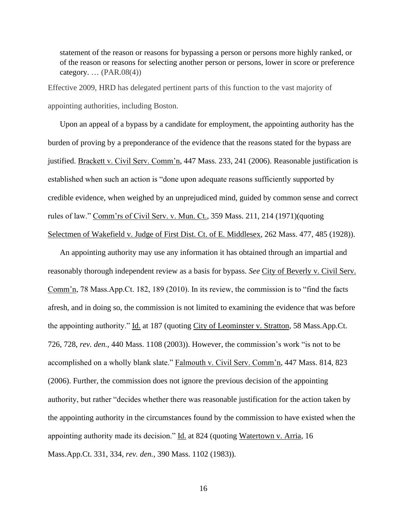statement of the reason or reasons for bypassing a person or persons more highly ranked, or of the reason or reasons for selecting another person or persons, lower in score or preference category.  $\ldots$  (PAR.08(4))

Effective 2009, HRD has delegated pertinent parts of this function to the vast majority of appointing authorities, including Boston.

Upon an appeal of a bypass by a candidate for employment, the appointing authority has the burden of proving by a preponderance of the evidence that the reasons stated for the bypass are justified. Brackett v. Civil Serv. Comm'n, 447 Mass. 233, 241 (2006). Reasonable justification is established when such an action is "done upon adequate reasons sufficiently supported by credible evidence, when weighed by an unprejudiced mind, guided by common sense and correct rules of law." Comm'rs of Civil Serv. v. Mun. Ct., 359 Mass. 211, 214 (1971)(quoting Selectmen of Wakefield v. Judge of First Dist. Ct. of E. Middlesex, 262 Mass. 477, 485 (1928)).

An appointing authority may use any information it has obtained through an impartial and reasonably thorough independent review as a basis for bypass. *See* City of Beverly v. Civil Serv. Comm'n, 78 Mass.App.Ct. 182, 189 (2010). In its review, the commission is to "find the facts afresh, and in doing so, the commission is not limited to examining the evidence that was before the appointing authority." Id. at 187 (quoting City of Leominster v. Stratton, 58 Mass.App.Ct. 726, 728, *rev. den.,* 440 Mass. 1108 (2003)). However, the commission's work "is not to be accomplished on a wholly blank slate." Falmouth v. Civil Serv. Comm'n, 447 Mass. 814, 823 (2006). Further, the commission does not ignore the previous decision of the appointing authority, but rather "decides whether there was reasonable justification for the action taken by the appointing authority in the circumstances found by the commission to have existed when the appointing authority made its decision." Id. at 824 (quoting Watertown v. Arria, 16 Mass.App.Ct. 331, 334, *rev. den.*, 390 Mass. 1102 (1983)).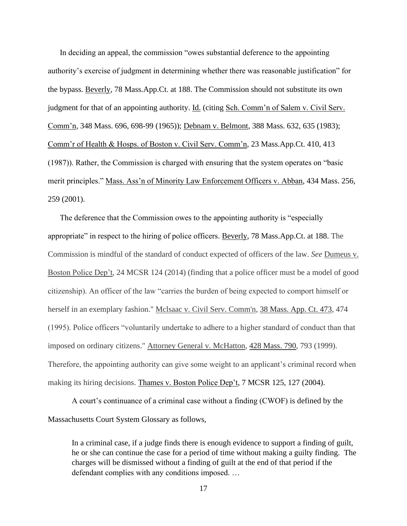In deciding an appeal, the commission "owes substantial deference to the appointing authority's exercise of judgment in determining whether there was reasonable justification" for the bypass. Beverly, 78 Mass.App.Ct. at 188. The Commission should not substitute its own judgment for that of an appointing authority. Id. (citing Sch. Comm'n of Salem v. Civil Serv. Comm'n, 348 Mass. 696, 698-99 (1965)); Debnam v. Belmont, 388 Mass. 632, 635 (1983); Comm'r of Health & Hosps. of Boston v. Civil Serv. Comm'n, 23 Mass.App.Ct. 410, 413 (1987)). Rather, the Commission is charged with ensuring that the system operates on "basic merit principles." Mass. Ass'n of Minority Law Enforcement Officers v. Abban, 434 Mass. 256, 259 (2001).

The deference that the Commission owes to the appointing authority is "especially appropriate" in respect to the hiring of police officers. Beverly, 78 Mass.App.Ct. at 188. The Commission is mindful of the standard of conduct expected of officers of the law. *See* Dumeus v. Boston Police Dep't, 24 MCSR 124 (2014) (finding that a police officer must be a model of good citizenship). An officer of the law "carries the burden of being expected to comport himself or herself in an exemplary fashion." Mclsaac v. Civil Serv. Comm'n, [38 Mass. App. Ct. 473,](http://sll.gvpi.net/document.php?id=sjcapp:38_mass_app_ct_473) 474 (1995). Police officers "voluntarily undertake to adhere to a higher standard of conduct than that imposed on ordinary citizens." Attorney General v. McHatton, [428 Mass. 790,](http://sll.gvpi.net/document.php?id=sjcapp:428_mass_790) 793 (1999). Therefore, the appointing authority can give some weight to an applicant's criminal record when making its hiring decisions. Thames v. Boston Police Dep't, 7 MCSR 125, 127 (2004).

A court's continuance of a criminal case without a finding (CWOF) is defined by the Massachusetts Court System Glossary as follows,

In a criminal case, if a judge finds there is enough evidence to support a finding of guilt, he or she can continue the case for a period of time without making a guilty finding. The charges will be dismissed without a finding of guilt at the end of that period if the defendant complies with any conditions imposed. …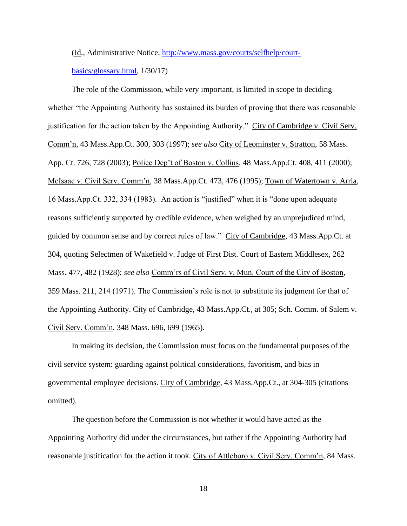(Id., Administrative Notice, [http://www.mass.gov/courts/selfhelp/court-](http://www.mass.gov/courts/selfhelp/court-basics/glossary.html)

[basics/glossary.html,](http://www.mass.gov/courts/selfhelp/court-basics/glossary.html) 1/30/17)

The role of the Commission, while very important, is limited in scope to deciding whether "the Appointing Authority has sustained its burden of proving that there was reasonable justification for the action taken by the Appointing Authority." City of Cambridge v. Civil Serv. Comm'n, 43 Mass.App.Ct. 300, 303 (1997); *see also* City of Leominster v. Stratton, 58 Mass. App. Ct. 726, 728 (2003); Police Dep't of Boston v. Collins, 48 Mass.App.Ct. 408, 411 (2000); McIsaac v. Civil Serv. Comm'n, 38 Mass.App.Ct. 473, 476 (1995); Town of Watertown v. Arria, 16 Mass.App.Ct. 332, 334 (1983). An action is "justified" when it is "done upon adequate reasons sufficiently supported by credible evidence, when weighed by an unprejudiced mind, guided by common sense and by correct rules of law." City of Cambridge, 43 Mass.App.Ct. at 304, quoting Selectmen of Wakefield v. Judge of First Dist. Court of Eastern Middlesex, 262 Mass. 477, 482 (1928); *see also* Comm'rs of Civil Serv. v. Mun. Court of the City of Boston, 359 Mass. 211, 214 (1971). The Commission's role is not to substitute its judgment for that of the Appointing Authority. City of Cambridge, 43 Mass.App.Ct., at 305; Sch. Comm. of Salem v. Civil Serv. Comm'n, 348 Mass. 696, 699 (1965).

In making its decision, the Commission must focus on the fundamental purposes of the civil service system: guarding against political considerations, favoritism, and bias in governmental employee decisions. City of Cambridge, 43 Mass.App.Ct., at 304-305 (citations omitted).

The question before the Commission is not whether it would have acted as the Appointing Authority did under the circumstances, but rather if the Appointing Authority had reasonable justification for the action it took. City of Attleboro v. Civil Serv. Comm'n, 84 Mass.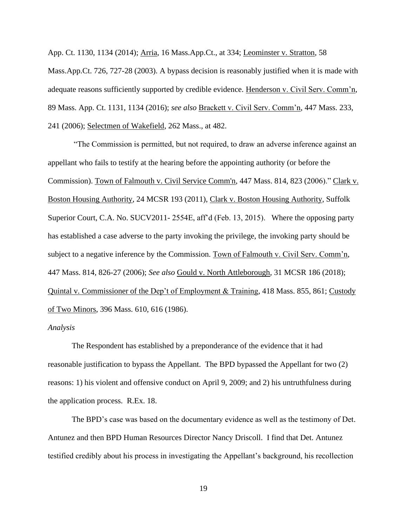App. Ct. 1130, 1134 (2014); Arria, 16 Mass.App.Ct., at 334; Leominster v. Stratton, 58 Mass.App.Ct. 726, 727-28 (2003). A bypass decision is reasonably justified when it is made with adequate reasons sufficiently supported by credible evidence. Henderson v. Civil Serv. Comm'n, 89 Mass. App. Ct. 1131, 1134 (2016); *see also* Brackett v. Civil Serv. Comm'n, 447 Mass. 233, 241 (2006); Selectmen of Wakefield, 262 Mass., at 482.

"The Commission is permitted, but not required, to draw an adverse inference against an appellant who fails to testify at the hearing before the appointing authority (or before the Commission). Town of Falmouth v. Civil Service Comm'n, 447 Mass. 814, 823 (2006)." Clark v. Boston Housing Authority, 24 MCSR 193 (2011), Clark v. Boston Housing Authority, Suffolk Superior Court, C.A. No. SUCV2011- 2554E, aff'd (Feb. 13, 2015). Where the opposing party has established a case adverse to the party invoking the privilege, the invoking party should be subject to a negative inference by the Commission. Town of Falmouth v. Civil Serv. Comm'n, 447 Mass. 814, 826-27 (2006); *See also* Gould v. North Attleborough*,* 31 MCSR 186 (2018); Quintal v. Commissioner of the Dep't of Employment & Training, 418 Mass. 855, 861; Custody of Two Minors, 396 Mass. 610, 616 (1986).

#### *Analysis*

The Respondent has established by a preponderance of the evidence that it had reasonable justification to bypass the Appellant. The BPD bypassed the Appellant for two (2) reasons: 1) his violent and offensive conduct on April 9, 2009; and 2) his untruthfulness during the application process. R.Ex. 18.

The BPD's case was based on the documentary evidence as well as the testimony of Det. Antunez and then BPD Human Resources Director Nancy Driscoll. I find that Det. Antunez testified credibly about his process in investigating the Appellant's background, his recollection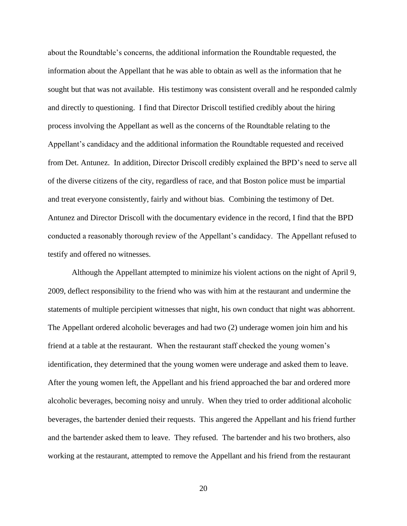about the Roundtable's concerns, the additional information the Roundtable requested, the information about the Appellant that he was able to obtain as well as the information that he sought but that was not available. His testimony was consistent overall and he responded calmly and directly to questioning. I find that Director Driscoll testified credibly about the hiring process involving the Appellant as well as the concerns of the Roundtable relating to the Appellant's candidacy and the additional information the Roundtable requested and received from Det. Antunez. In addition, Director Driscoll credibly explained the BPD's need to serve all of the diverse citizens of the city, regardless of race, and that Boston police must be impartial and treat everyone consistently, fairly and without bias. Combining the testimony of Det. Antunez and Director Driscoll with the documentary evidence in the record, I find that the BPD conducted a reasonably thorough review of the Appellant's candidacy. The Appellant refused to testify and offered no witnesses.

Although the Appellant attempted to minimize his violent actions on the night of April 9, 2009, deflect responsibility to the friend who was with him at the restaurant and undermine the statements of multiple percipient witnesses that night, his own conduct that night was abhorrent. The Appellant ordered alcoholic beverages and had two (2) underage women join him and his friend at a table at the restaurant. When the restaurant staff checked the young women's identification, they determined that the young women were underage and asked them to leave. After the young women left, the Appellant and his friend approached the bar and ordered more alcoholic beverages, becoming noisy and unruly. When they tried to order additional alcoholic beverages, the bartender denied their requests. This angered the Appellant and his friend further and the bartender asked them to leave. They refused. The bartender and his two brothers, also working at the restaurant, attempted to remove the Appellant and his friend from the restaurant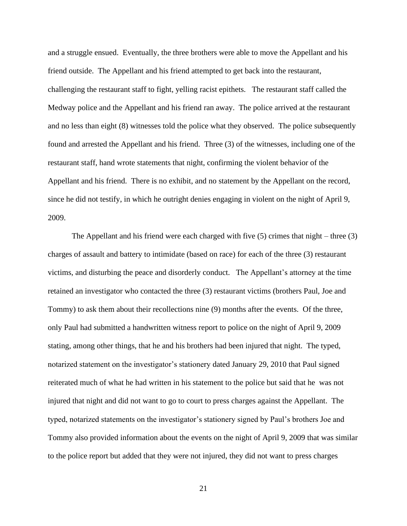and a struggle ensued. Eventually, the three brothers were able to move the Appellant and his friend outside. The Appellant and his friend attempted to get back into the restaurant, challenging the restaurant staff to fight, yelling racist epithets. The restaurant staff called the Medway police and the Appellant and his friend ran away. The police arrived at the restaurant and no less than eight (8) witnesses told the police what they observed. The police subsequently found and arrested the Appellant and his friend. Three (3) of the witnesses, including one of the restaurant staff, hand wrote statements that night, confirming the violent behavior of the Appellant and his friend. There is no exhibit, and no statement by the Appellant on the record, since he did not testify, in which he outright denies engaging in violent on the night of April 9, 2009.

The Appellant and his friend were each charged with five (5) crimes that night – three (3) charges of assault and battery to intimidate (based on race) for each of the three (3) restaurant victims, and disturbing the peace and disorderly conduct. The Appellant's attorney at the time retained an investigator who contacted the three (3) restaurant victims (brothers Paul, Joe and Tommy) to ask them about their recollections nine (9) months after the events. Of the three, only Paul had submitted a handwritten witness report to police on the night of April 9, 2009 stating, among other things, that he and his brothers had been injured that night. The typed, notarized statement on the investigator's stationery dated January 29, 2010 that Paul signed reiterated much of what he had written in his statement to the police but said that he was not injured that night and did not want to go to court to press charges against the Appellant. The typed, notarized statements on the investigator's stationery signed by Paul's brothers Joe and Tommy also provided information about the events on the night of April 9, 2009 that was similar to the police report but added that they were not injured, they did not want to press charges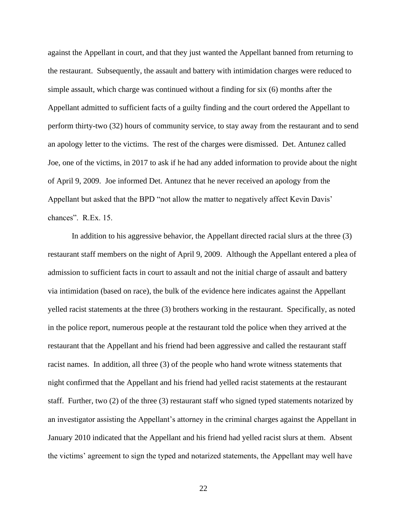against the Appellant in court, and that they just wanted the Appellant banned from returning to the restaurant. Subsequently, the assault and battery with intimidation charges were reduced to simple assault, which charge was continued without a finding for six (6) months after the Appellant admitted to sufficient facts of a guilty finding and the court ordered the Appellant to perform thirty-two (32) hours of community service, to stay away from the restaurant and to send an apology letter to the victims. The rest of the charges were dismissed. Det. Antunez called Joe, one of the victims, in 2017 to ask if he had any added information to provide about the night of April 9, 2009. Joe informed Det. Antunez that he never received an apology from the Appellant but asked that the BPD "not allow the matter to negatively affect Kevin Davis' chances". R.Ex. 15.

In addition to his aggressive behavior, the Appellant directed racial slurs at the three (3) restaurant staff members on the night of April 9, 2009. Although the Appellant entered a plea of admission to sufficient facts in court to assault and not the initial charge of assault and battery via intimidation (based on race), the bulk of the evidence here indicates against the Appellant yelled racist statements at the three (3) brothers working in the restaurant. Specifically, as noted in the police report, numerous people at the restaurant told the police when they arrived at the restaurant that the Appellant and his friend had been aggressive and called the restaurant staff racist names. In addition, all three (3) of the people who hand wrote witness statements that night confirmed that the Appellant and his friend had yelled racist statements at the restaurant staff. Further, two (2) of the three (3) restaurant staff who signed typed statements notarized by an investigator assisting the Appellant's attorney in the criminal charges against the Appellant in January 2010 indicated that the Appellant and his friend had yelled racist slurs at them. Absent the victims' agreement to sign the typed and notarized statements, the Appellant may well have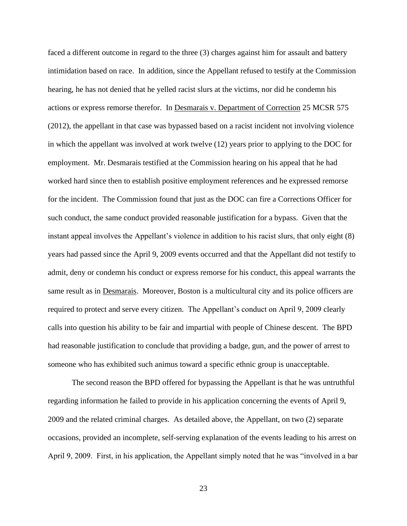faced a different outcome in regard to the three (3) charges against him for assault and battery intimidation based on race. In addition, since the Appellant refused to testify at the Commission hearing, he has not denied that he yelled racist slurs at the victims, nor did he condemn his actions or express remorse therefor. In Desmarais v. Department of Correction 25 MCSR 575 (2012), the appellant in that case was bypassed based on a racist incident not involving violence in which the appellant was involved at work twelve (12) years prior to applying to the DOC for employment. Mr. Desmarais testified at the Commission hearing on his appeal that he had worked hard since then to establish positive employment references and he expressed remorse for the incident. The Commission found that just as the DOC can fire a Corrections Officer for such conduct, the same conduct provided reasonable justification for a bypass. Given that the instant appeal involves the Appellant's violence in addition to his racist slurs, that only eight (8) years had passed since the April 9, 2009 events occurred and that the Appellant did not testify to admit, deny or condemn his conduct or express remorse for his conduct, this appeal warrants the same result as in Desmarais. Moreover, Boston is a multicultural city and its police officers are required to protect and serve every citizen. The Appellant's conduct on April 9, 2009 clearly calls into question his ability to be fair and impartial with people of Chinese descent. The BPD had reasonable justification to conclude that providing a badge, gun, and the power of arrest to someone who has exhibited such animus toward a specific ethnic group is unacceptable.

The second reason the BPD offered for bypassing the Appellant is that he was untruthful regarding information he failed to provide in his application concerning the events of April 9, 2009 and the related criminal charges. As detailed above, the Appellant, on two (2) separate occasions, provided an incomplete, self-serving explanation of the events leading to his arrest on April 9, 2009. First, in his application, the Appellant simply noted that he was "involved in a bar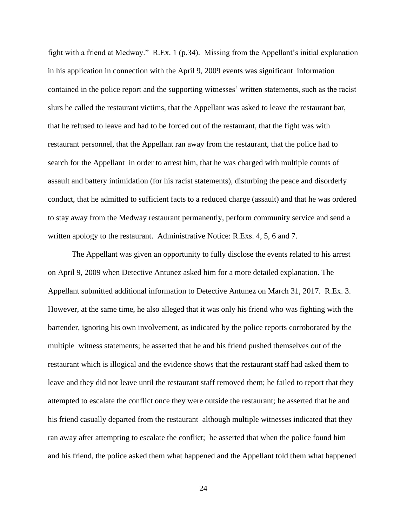fight with a friend at Medway." R.Ex. 1 (p.34). Missing from the Appellant's initial explanation in his application in connection with the April 9, 2009 events was significant information contained in the police report and the supporting witnesses' written statements, such as the racist slurs he called the restaurant victims, that the Appellant was asked to leave the restaurant bar, that he refused to leave and had to be forced out of the restaurant, that the fight was with restaurant personnel, that the Appellant ran away from the restaurant, that the police had to search for the Appellant in order to arrest him, that he was charged with multiple counts of assault and battery intimidation (for his racist statements), disturbing the peace and disorderly conduct, that he admitted to sufficient facts to a reduced charge (assault) and that he was ordered to stay away from the Medway restaurant permanently, perform community service and send a written apology to the restaurant. Administrative Notice: R.Exs. 4, 5, 6 and 7.

The Appellant was given an opportunity to fully disclose the events related to his arrest on April 9, 2009 when Detective Antunez asked him for a more detailed explanation. The Appellant submitted additional information to Detective Antunez on March 31, 2017. R.Ex. 3. However, at the same time, he also alleged that it was only his friend who was fighting with the bartender, ignoring his own involvement, as indicated by the police reports corroborated by the multiple witness statements; he asserted that he and his friend pushed themselves out of the restaurant which is illogical and the evidence shows that the restaurant staff had asked them to leave and they did not leave until the restaurant staff removed them; he failed to report that they attempted to escalate the conflict once they were outside the restaurant; he asserted that he and his friend casually departed from the restaurant although multiple witnesses indicated that they ran away after attempting to escalate the conflict; he asserted that when the police found him and his friend, the police asked them what happened and the Appellant told them what happened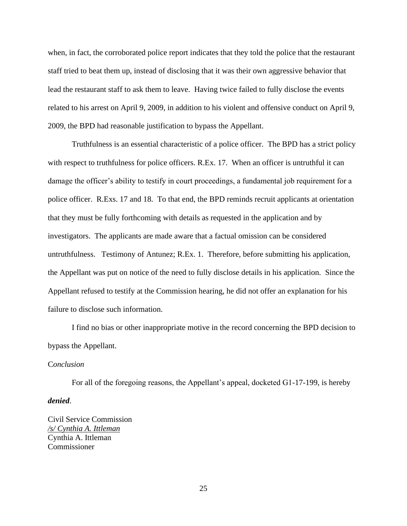when, in fact, the corroborated police report indicates that they told the police that the restaurant staff tried to beat them up, instead of disclosing that it was their own aggressive behavior that lead the restaurant staff to ask them to leave. Having twice failed to fully disclose the events related to his arrest on April 9, 2009, in addition to his violent and offensive conduct on April 9, 2009, the BPD had reasonable justification to bypass the Appellant.

Truthfulness is an essential characteristic of a police officer. The BPD has a strict policy with respect to truthfulness for police officers. R.Ex. 17. When an officer is untruthful it can damage the officer's ability to testify in court proceedings, a fundamental job requirement for a police officer. R.Exs. 17 and 18. To that end, the BPD reminds recruit applicants at orientation that they must be fully forthcoming with details as requested in the application and by investigators. The applicants are made aware that a factual omission can be considered untruthfulness. Testimony of Antunez; R.Ex. 1.Therefore, before submitting his application, the Appellant was put on notice of the need to fully disclose details in his application. Since the Appellant refused to testify at the Commission hearing, he did not offer an explanation for his failure to disclose such information.

I find no bias or other inappropriate motive in the record concerning the BPD decision to bypass the Appellant.

## C*onclusion*

For all of the foregoing reasons, the Appellant's appeal, docketed G1-17-199, is hereby *denied*.

Civil Service Commission */s/ Cynthia A. Ittleman* Cynthia A. Ittleman Commissioner